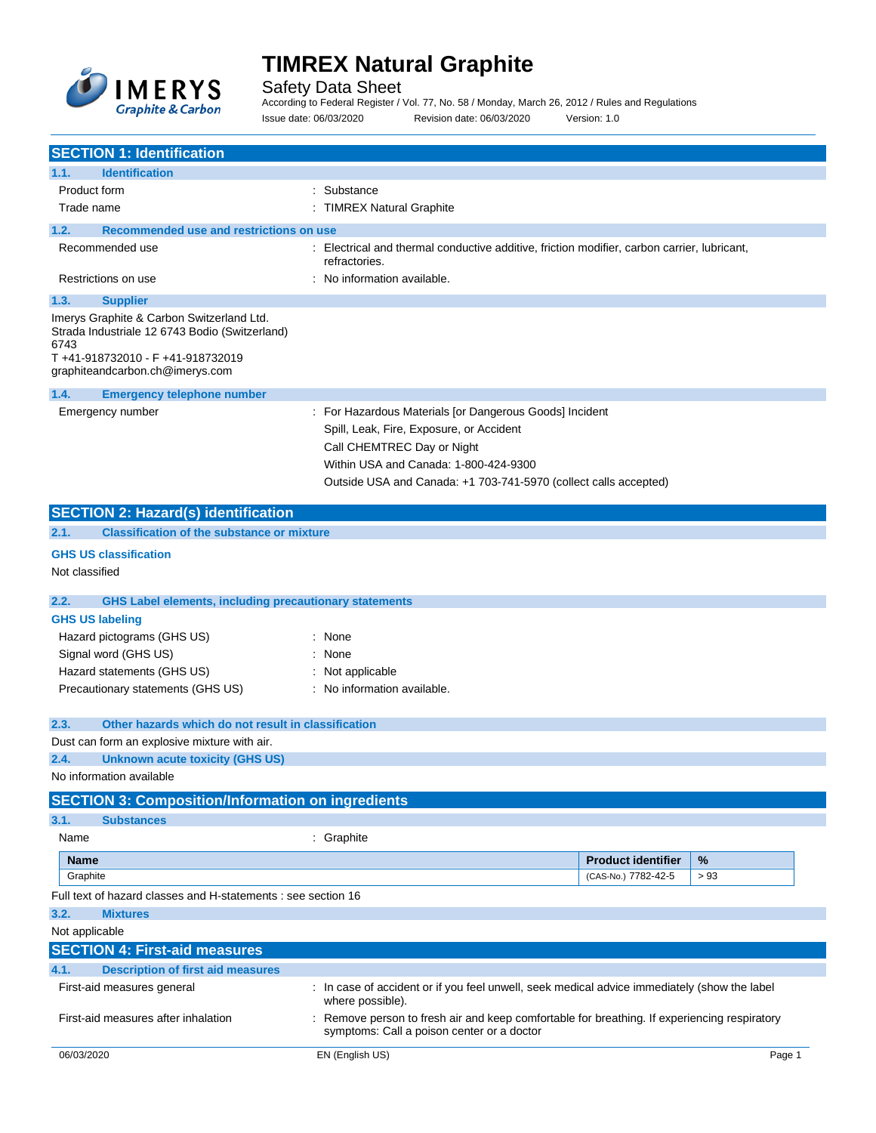

Safety Data Sheet

According to Federal Register / Vol. 77, No. 58 / Monday, March 26, 2012 / Rules and Regulations Issue date: 06/03/2020 Revision date: 06/03/2020 Version: 1.0

| <b>SECTION 1: Identification</b>                                                                                                                                          |                                                                                                                                                                                                                                                |
|---------------------------------------------------------------------------------------------------------------------------------------------------------------------------|------------------------------------------------------------------------------------------------------------------------------------------------------------------------------------------------------------------------------------------------|
| <b>Identification</b><br>1.1.                                                                                                                                             |                                                                                                                                                                                                                                                |
| Product form                                                                                                                                                              | Substance                                                                                                                                                                                                                                      |
| Trade name                                                                                                                                                                | : TIMREX Natural Graphite                                                                                                                                                                                                                      |
| Recommended use and restrictions on use<br>1.2.                                                                                                                           |                                                                                                                                                                                                                                                |
| Recommended use                                                                                                                                                           | : Electrical and thermal conductive additive, friction modifier, carbon carrier, lubricant,<br>refractories.                                                                                                                                   |
| Restrictions on use                                                                                                                                                       | : No information available.                                                                                                                                                                                                                    |
| 1.3.<br><b>Supplier</b>                                                                                                                                                   |                                                                                                                                                                                                                                                |
| Imerys Graphite & Carbon Switzerland Ltd.<br>Strada Industriale 12 6743 Bodio (Switzerland)<br>6743<br>T+41-918732010 - F+41-918732019<br>graphiteandcarbon.ch@imerys.com |                                                                                                                                                                                                                                                |
| 1.4.<br><b>Emergency telephone number</b>                                                                                                                                 |                                                                                                                                                                                                                                                |
| Emergency number                                                                                                                                                          | : For Hazardous Materials [or Dangerous Goods] Incident<br>Spill, Leak, Fire, Exposure, or Accident<br>Call CHEMTREC Day or Night<br>Within USA and Canada: 1-800-424-9300<br>Outside USA and Canada: +1 703-741-5970 (collect calls accepted) |
| <b>SECTION 2: Hazard(s) identification</b>                                                                                                                                |                                                                                                                                                                                                                                                |
| <b>Classification of the substance or mixture</b><br>2.1.                                                                                                                 |                                                                                                                                                                                                                                                |
| <b>GHS US classification</b><br>Not classified                                                                                                                            |                                                                                                                                                                                                                                                |
| 2.2.<br><b>GHS Label elements, including precautionary statements</b>                                                                                                     |                                                                                                                                                                                                                                                |
| <b>GHS US labeling</b>                                                                                                                                                    |                                                                                                                                                                                                                                                |
| Hazard pictograms (GHS US)                                                                                                                                                | : None                                                                                                                                                                                                                                         |
| Signal word (GHS US)                                                                                                                                                      | : None                                                                                                                                                                                                                                         |
| Hazard statements (GHS US)                                                                                                                                                | : Not applicable                                                                                                                                                                                                                               |
| Precautionary statements (GHS US)                                                                                                                                         | : No information available.                                                                                                                                                                                                                    |
| Other hazards which do not result in classification<br>2.3.                                                                                                               |                                                                                                                                                                                                                                                |
| Dust can form an explosive mixture with air.                                                                                                                              |                                                                                                                                                                                                                                                |
| 2.4.<br><b>Unknown acute toxicity (GHS US)</b>                                                                                                                            |                                                                                                                                                                                                                                                |
| No information available                                                                                                                                                  |                                                                                                                                                                                                                                                |
| <b>SECTION 3: Composition/Information on ingredients</b>                                                                                                                  |                                                                                                                                                                                                                                                |
| 3.1.<br><b>Substances</b>                                                                                                                                                 |                                                                                                                                                                                                                                                |
| Name                                                                                                                                                                      | : Graphite                                                                                                                                                                                                                                     |
| <b>Name</b>                                                                                                                                                               | %<br><b>Product identifier</b>                                                                                                                                                                                                                 |
| Graphite                                                                                                                                                                  | (CAS-No.) 7782-42-5<br>> 93                                                                                                                                                                                                                    |
| Full text of hazard classes and H-statements : see section 16                                                                                                             |                                                                                                                                                                                                                                                |
| 3.2.<br><b>Mixtures</b>                                                                                                                                                   |                                                                                                                                                                                                                                                |
| Not applicable                                                                                                                                                            |                                                                                                                                                                                                                                                |
| <b>SECTION 4: First-aid measures</b>                                                                                                                                      |                                                                                                                                                                                                                                                |
| 4.1.<br><b>Description of first aid measures</b>                                                                                                                          |                                                                                                                                                                                                                                                |
| First-aid measures general                                                                                                                                                | In case of accident or if you feel unwell, seek medical advice immediately (show the label<br>where possible).                                                                                                                                 |
| First-aid measures after inhalation                                                                                                                                       | Remove person to fresh air and keep comfortable for breathing. If experiencing respiratory<br>symptoms: Call a poison center or a doctor                                                                                                       |
| 06/03/2020                                                                                                                                                                | EN (English US)<br>Page 1                                                                                                                                                                                                                      |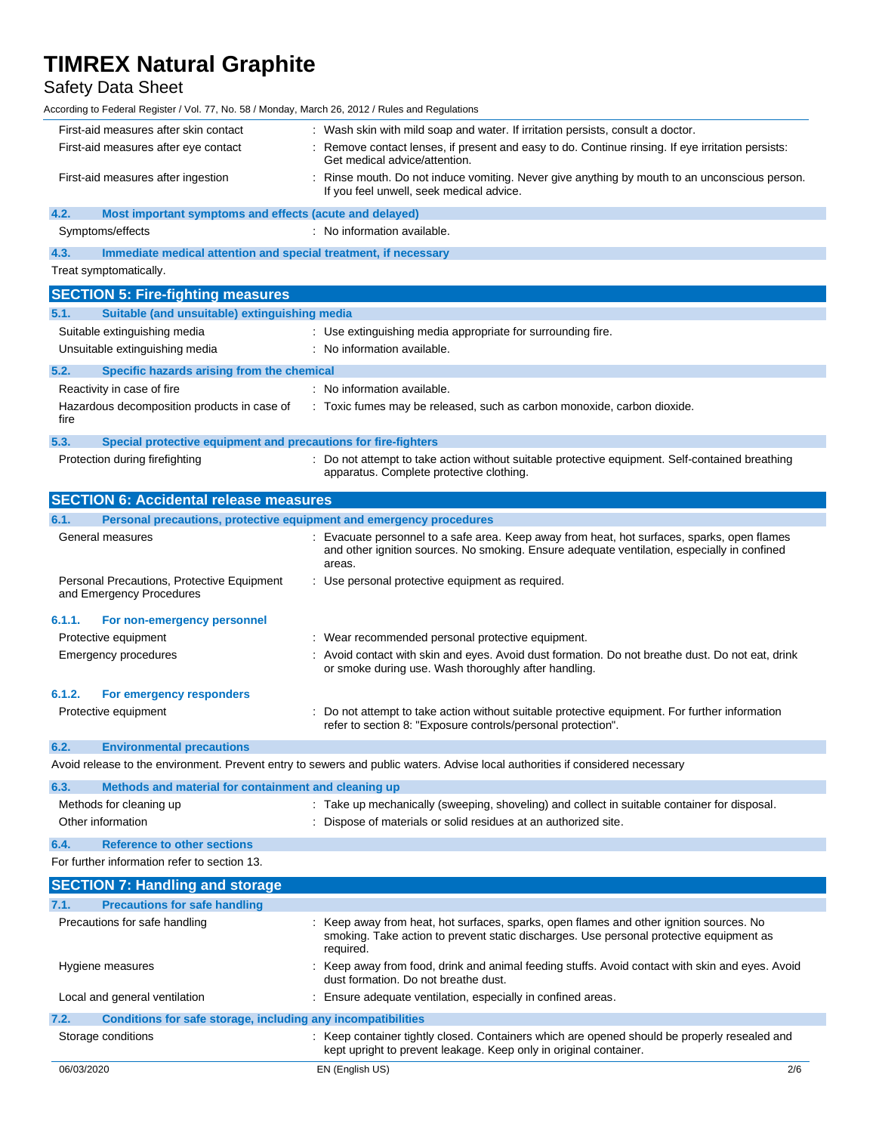# Safety Data Sheet

According to Federal Register / Vol. 77, No. 58 / Monday, March 26, 2012 / Rules and Regulations

| According to Federal Register / Vol. 77, No. 58 / Monday, March 26, 2012 / Rules and Regulations |                                                                                                                                                                                                      |
|--------------------------------------------------------------------------------------------------|------------------------------------------------------------------------------------------------------------------------------------------------------------------------------------------------------|
| First-aid measures after skin contact                                                            | : Wash skin with mild soap and water. If irritation persists, consult a doctor.                                                                                                                      |
| First-aid measures after eye contact                                                             | : Remove contact lenses, if present and easy to do. Continue rinsing. If eye irritation persists:<br>Get medical advice/attention.                                                                   |
| First-aid measures after ingestion                                                               | : Rinse mouth. Do not induce vomiting. Never give anything by mouth to an unconscious person.<br>If you feel unwell, seek medical advice.                                                            |
| 4.2.<br>Most important symptoms and effects (acute and delayed)                                  |                                                                                                                                                                                                      |
| Symptoms/effects                                                                                 | : No information available.                                                                                                                                                                          |
| 4.3.<br>Immediate medical attention and special treatment, if necessary                          |                                                                                                                                                                                                      |
| Treat symptomatically.                                                                           |                                                                                                                                                                                                      |
| <b>SECTION 5: Fire-fighting measures</b>                                                         |                                                                                                                                                                                                      |
| Suitable (and unsuitable) extinguishing media<br>5.1.                                            |                                                                                                                                                                                                      |
| Suitable extinguishing media                                                                     | : Use extinguishing media appropriate for surrounding fire.                                                                                                                                          |
| Unsuitable extinguishing media                                                                   | : No information available.                                                                                                                                                                          |
| 5.2.<br>Specific hazards arising from the chemical                                               |                                                                                                                                                                                                      |
| Reactivity in case of fire                                                                       | : No information available.                                                                                                                                                                          |
| Hazardous decomposition products in case of<br>fire                                              | : Toxic fumes may be released, such as carbon monoxide, carbon dioxide.                                                                                                                              |
| 5.3.<br>Special protective equipment and precautions for fire-fighters                           |                                                                                                                                                                                                      |
| Protection during firefighting                                                                   | : Do not attempt to take action without suitable protective equipment. Self-contained breathing<br>apparatus. Complete protective clothing.                                                          |
| <b>SECTION 6: Accidental release measures</b>                                                    |                                                                                                                                                                                                      |
| Personal precautions, protective equipment and emergency procedures<br>6.1.                      |                                                                                                                                                                                                      |
| General measures                                                                                 | : Evacuate personnel to a safe area. Keep away from heat, hot surfaces, sparks, open flames<br>and other ignition sources. No smoking. Ensure adequate ventilation, especially in confined<br>areas. |
| Personal Precautions, Protective Equipment<br>and Emergency Procedures                           | : Use personal protective equipment as required.                                                                                                                                                     |
| 6.1.1.<br>For non-emergency personnel                                                            |                                                                                                                                                                                                      |
| Protective equipment                                                                             | : Wear recommended personal protective equipment.                                                                                                                                                    |
| <b>Emergency procedures</b>                                                                      | : Avoid contact with skin and eyes. Avoid dust formation. Do not breathe dust. Do not eat, drink<br>or smoke during use. Wash thoroughly after handling.                                             |
| 6.1.2.<br>For emergency responders                                                               |                                                                                                                                                                                                      |
| Protective equipment                                                                             | Do not attempt to take action without suitable protective equipment. For further information<br>refer to section 8: "Exposure controls/personal protection".                                         |
| 6.2.<br><b>Environmental precautions</b>                                                         |                                                                                                                                                                                                      |
|                                                                                                  | Avoid release to the environment. Prevent entry to sewers and public waters. Advise local authorities if considered necessary                                                                        |

| 6.3. | Methods and material for containment and cleaning up |                                                                                              |
|------|------------------------------------------------------|----------------------------------------------------------------------------------------------|
|      | Methods for cleaning up                              | : Take up mechanically (sweeping, shoveling) and collect in suitable container for disposal. |
|      | Other information                                    | : Dispose of materials or solid residues at an authorized site.                              |
| 6.4. | <b>Reference to other sections</b>                   |                                                                                              |

For further information refer to section 13.

| <b>SECTION 7: Handling and storage</b>                               |                                                                                                                                                                                                 |     |
|----------------------------------------------------------------------|-------------------------------------------------------------------------------------------------------------------------------------------------------------------------------------------------|-----|
| 7.1.<br><b>Precautions for safe handling</b>                         |                                                                                                                                                                                                 |     |
| Precautions for safe handling                                        | : Keep away from heat, hot surfaces, sparks, open flames and other ignition sources. No<br>smoking. Take action to prevent static discharges. Use personal protective equipment as<br>required. |     |
| Hygiene measures                                                     | : Keep away from food, drink and animal feeding stuffs. Avoid contact with skin and eyes. Avoid<br>dust formation. Do not breathe dust.                                                         |     |
| Local and general ventilation                                        | : Ensure adequate ventilation, especially in confined areas.                                                                                                                                    |     |
| 7.2.<br>Conditions for safe storage, including any incompatibilities |                                                                                                                                                                                                 |     |
| Storage conditions                                                   | : Keep container tightly closed. Containers which are opened should be properly resealed and<br>kept upright to prevent leakage. Keep only in original container.                               |     |
| 06/03/2020                                                           | EN (English US)                                                                                                                                                                                 | 2/6 |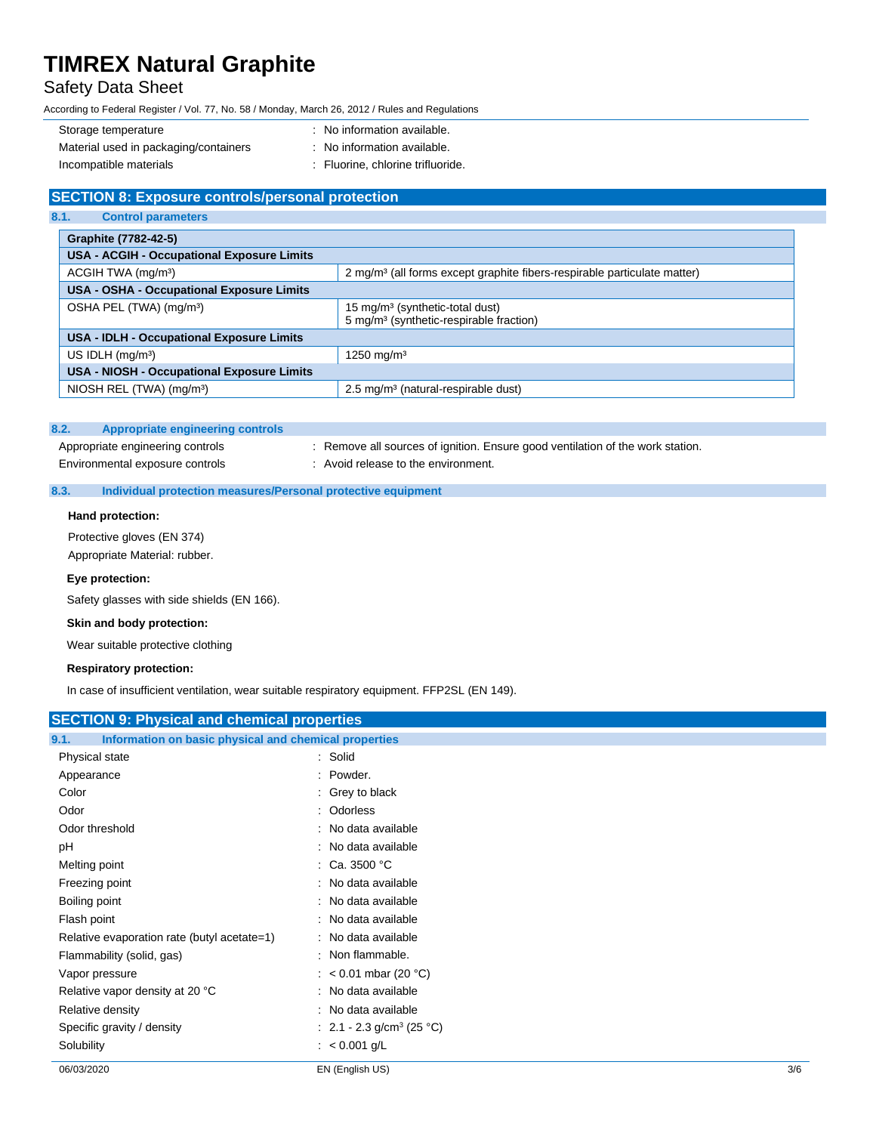# Safety Data Sheet

According to Federal Register / Vol. 77, No. 58 / Monday, March 26, 2012 / Rules and Regulations

| Storage temperature                   | : No information available.       |
|---------------------------------------|-----------------------------------|
| Material used in packaging/containers | : No information available.       |
| Incompatible materials                | : Fluorine, chlorine trifluoride. |

# **SECTION 8: Exposure controls/personal protection**

| 8.1.<br><b>Control parameters</b>                 |                                                                                                    |  |
|---------------------------------------------------|----------------------------------------------------------------------------------------------------|--|
| Graphite (7782-42-5)                              |                                                                                                    |  |
| <b>USA - ACGIH - Occupational Exposure Limits</b> |                                                                                                    |  |
| ACGIH TWA (mg/m <sup>3</sup> )                    | 2 mg/m <sup>3</sup> (all forms except graphite fibers-respirable particulate matter)               |  |
| <b>USA - OSHA - Occupational Exposure Limits</b>  |                                                                                                    |  |
| OSHA PEL (TWA) (mg/m <sup>3</sup> )               | 15 mg/m <sup>3</sup> (synthetic-total dust)<br>5 mg/m <sup>3</sup> (synthetic-respirable fraction) |  |
| USA - IDLH - Occupational Exposure Limits         |                                                                                                    |  |
| US IDLH $(mq/m3)$                                 | 1250 mg/m <sup>3</sup>                                                                             |  |
| <b>USA - NIOSH - Occupational Exposure Limits</b> |                                                                                                    |  |
| NIOSH REL (TWA) (mg/m <sup>3</sup> )              | 2.5 mg/m <sup>3</sup> (natural-respirable dust)                                                    |  |

#### **8.2. Appropriate engineering controls**

Appropriate engineering controls : Remove all sources of ignition. Ensure good ventilation of the work station. Environmental exposure controls : Avoid release to the environment.

## **8.3. Individual protection measures/Personal protective equipment**

### **Hand protection:**

Protective gloves (EN 374) Appropriate Material: rubber.

### **Eye protection:**

Safety glasses with side shields (EN 166).

### **Skin and body protection:**

Wear suitable protective clothing

## **Respiratory protection:**

In case of insufficient ventilation, wear suitable respiratory equipment. FFP2SL (EN 149).

| : No data available<br>: No data available<br>: No data available<br>: No data available<br>: No data available<br>: No data available |
|----------------------------------------------------------------------------------------------------------------------------------------|
|                                                                                                                                        |
|                                                                                                                                        |
|                                                                                                                                        |
|                                                                                                                                        |
|                                                                                                                                        |
|                                                                                                                                        |
|                                                                                                                                        |
|                                                                                                                                        |
|                                                                                                                                        |
|                                                                                                                                        |
|                                                                                                                                        |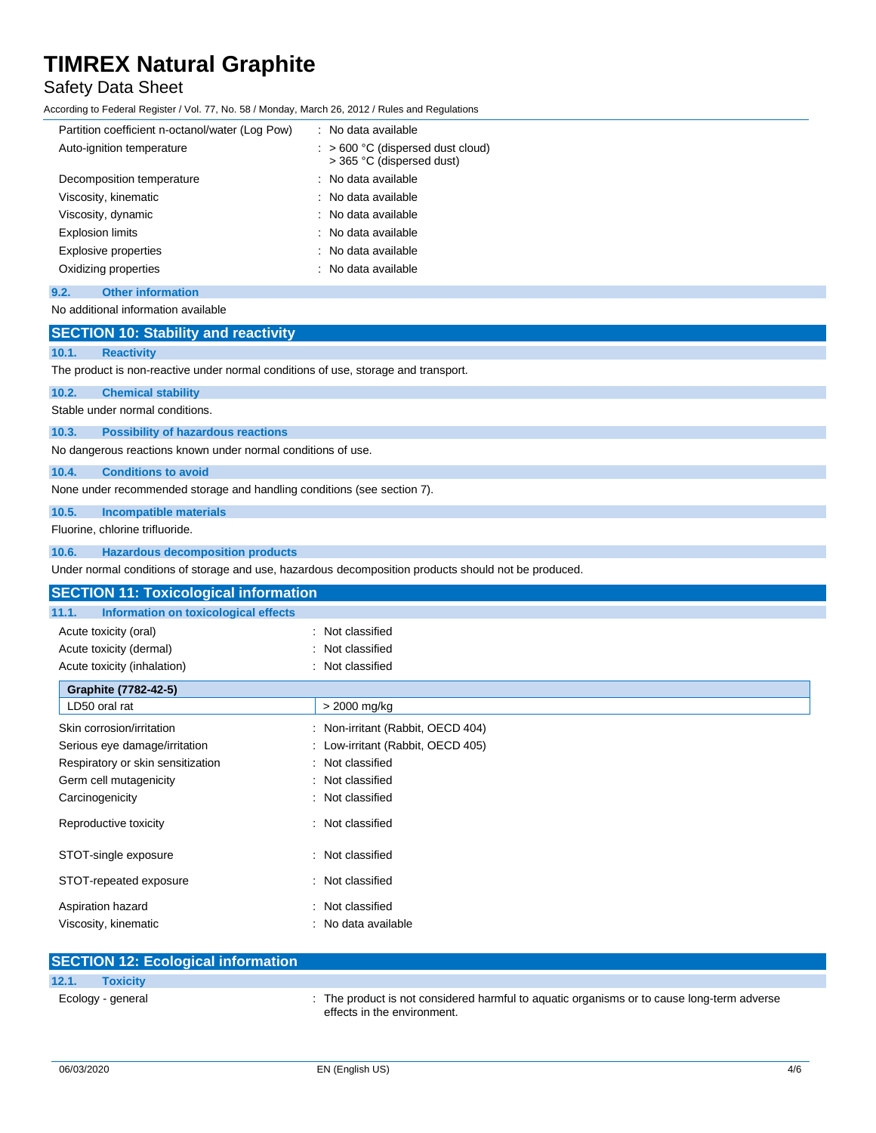# Safety Data Sheet

According to Federal Register / Vol. 77, No. 58 / Monday, March 26, 2012 / Rules and Regulations

| Partition coefficient n-octanol/water (Log Pow) | : No data available                                                       |
|-------------------------------------------------|---------------------------------------------------------------------------|
| Auto-ignition temperature                       | $\therefore$ > 600 °C (dispersed dust cloud)<br>> 365 °C (dispersed dust) |
| Decomposition temperature                       | : No data available                                                       |
| Viscosity, kinematic                            | : No data available                                                       |
| Viscosity, dynamic                              | : No data available                                                       |
| <b>Explosion limits</b>                         | : No data available                                                       |
| Explosive properties                            | No data available                                                         |
| Oxidizing properties                            | : No data available                                                       |
|                                                 |                                                                           |

# **9.2. Other information**

No additional information available

## **SECTION 10: Stability and reactivity**

## **10.1. Reactivity**

The product is non-reactive under normal conditions of use, storage and transport.

# **10.2. Chemical stability**

Stable under normal conditions.

## **10.3. Possibility of hazardous reactions**

No dangerous reactions known under normal conditions of use.

## **10.4. Conditions to avoid**

None under recommended storage and handling conditions (see section 7).

## **10.5. Incompatible materials**

Fluorine, chlorine trifluoride.

### **10.6. Hazardous decomposition products**

Under normal conditions of storage and use, hazardous decomposition products should not be produced.

| <b>SECTION 11: Toxicological information</b>  |                                   |  |
|-----------------------------------------------|-----------------------------------|--|
| 11.1.<br>Information on toxicological effects |                                   |  |
| Acute toxicity (oral)                         | : Not classified                  |  |
| Acute toxicity (dermal)                       | : Not classified                  |  |
| Acute toxicity (inhalation)                   | : Not classified                  |  |
| Graphite (7782-42-5)                          |                                   |  |
| LD50 oral rat                                 | > 2000 mg/kg                      |  |
| Skin corrosion/irritation                     | : Non-irritant (Rabbit, OECD 404) |  |
| Serious eye damage/irritation                 | : Low-irritant (Rabbit, OECD 405) |  |
| Respiratory or skin sensitization             | : Not classified                  |  |
| Germ cell mutagenicity                        | : Not classified                  |  |
| Carcinogenicity                               | : Not classified                  |  |
| Reproductive toxicity                         | : Not classified                  |  |
| STOT-single exposure                          | : Not classified                  |  |
| STOT-repeated exposure                        | : Not classified                  |  |
| Aspiration hazard                             | : Not classified                  |  |
| Viscosity, kinematic                          | : No data available               |  |

| <b>SECTION 12: Ecological information</b> |                                                                                                                           |
|-------------------------------------------|---------------------------------------------------------------------------------------------------------------------------|
| 12.1.<br><b>Toxicity</b>                  |                                                                                                                           |
| Ecology - general                         | : The product is not considered harmful to aguatic organisms or to cause long-term adverse<br>effects in the environment. |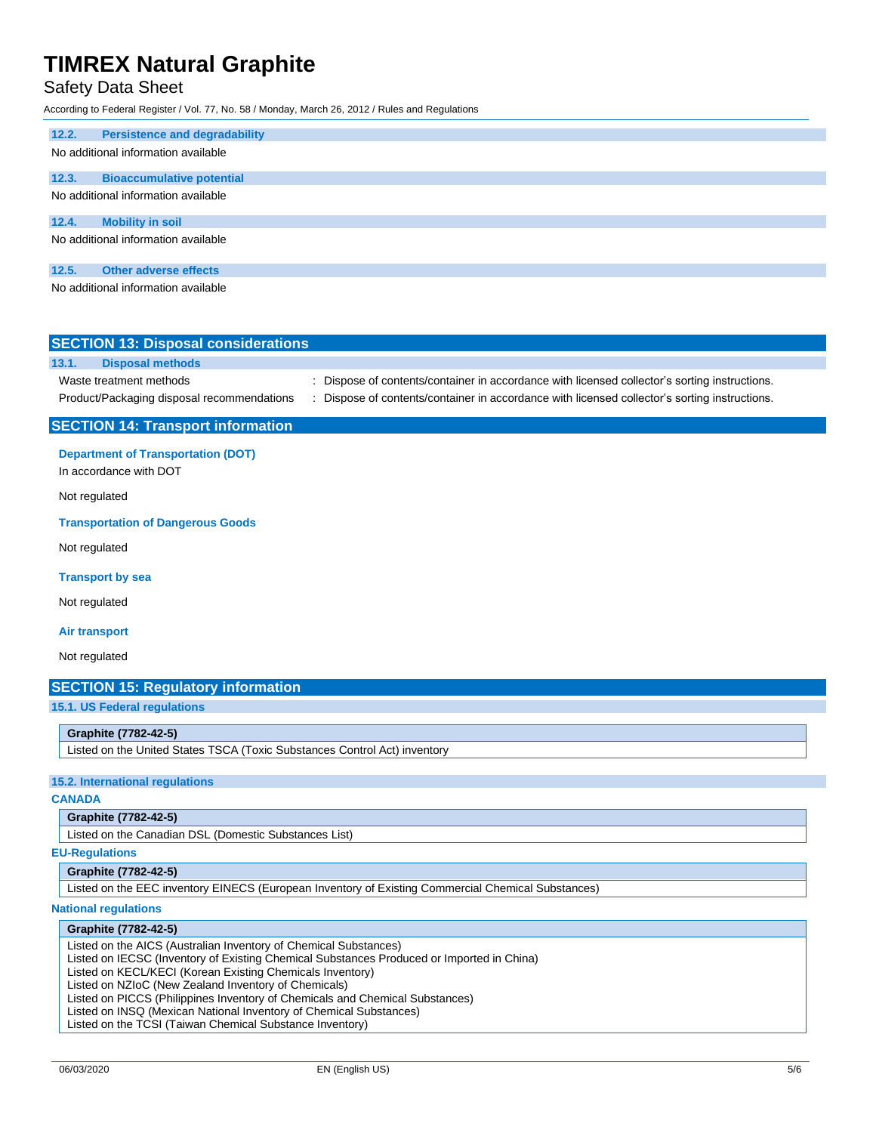# Safety Data Sheet

According to Federal Register / Vol. 77, No. 58 / Monday, March 26, 2012 / Rules and Regulations

## **12.2. Persistence and degradability**

## No additional information available

# **12.3. Bioaccumulative potential**

No additional information available

#### **12.4. Mobility in soil**

No additional information available

## **12.5. Other adverse effects**

No additional information available

| <b>SECTION 13: Disposal considerations</b>                            |                                                                                                                                                                                              |
|-----------------------------------------------------------------------|----------------------------------------------------------------------------------------------------------------------------------------------------------------------------------------------|
| 13.1.<br><b>Disposal methods</b>                                      |                                                                                                                                                                                              |
| Waste treatment methods<br>Product/Packaging disposal recommendations | : Dispose of contents/container in accordance with licensed collector's sorting instructions.<br>Dispose of contents/container in accordance with licensed collector's sorting instructions. |
| <b>SECTION 14: Transport information</b>                              |                                                                                                                                                                                              |

#### **Department of Transportation (DOT)**

In accordance with DOT

Not regulated

### **Transportation of Dangerous Goods**

Not regulated

**Transport by sea**

Not regulated

#### **Air transport**

Not regulated

## **SECTION 15: Regulatory information**

**15.1. US Federal regulations**

### **Graphite (7782-42-5)**

Listed on the United States TSCA (Toxic Substances Control Act) inventory

#### **15.2. International regulations**

**CANADA**

#### **Graphite (7782-42-5)**

Listed on the Canadian DSL (Domestic Substances List)

**EU-Regulations**

## **Graphite (7782-42-5)**

Listed on the EEC inventory EINECS (European Inventory of Existing Commercial Chemical Substances)

### **National regulations**

## **Graphite (7782-42-5)**

Listed on the AICS (Australian Inventory of Chemical Substances)

Listed on IECSC (Inventory of Existing Chemical Substances Produced or Imported in China)

Listed on KECL/KECI (Korean Existing Chemicals Inventory)

Listed on NZIoC (New Zealand Inventory of Chemicals)

Listed on PICCS (Philippines Inventory of Chemicals and Chemical Substances)

Listed on INSQ (Mexican National Inventory of Chemical Substances)

Listed on the TCSI (Taiwan Chemical Substance Inventory)